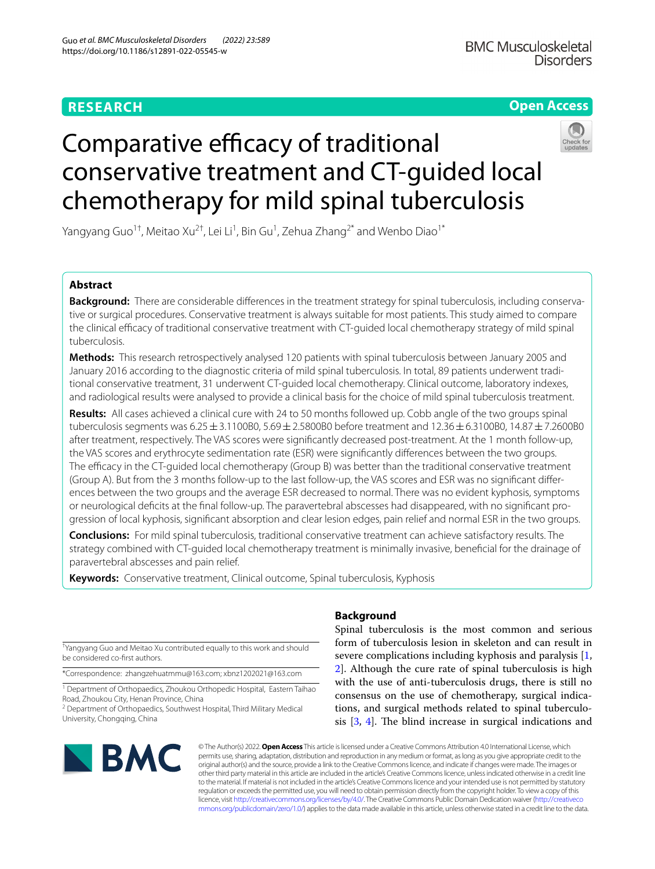# **RESEARCH**

## **Open Access**



# Comparative efficacy of traditional conservative treatment and CT-guided local chemotherapy for mild spinal tuberculosis

Yangyang Guo<sup>1†</sup>, Meitao Xu<sup>2†</sup>, Lei Li<sup>1</sup>, Bin Gu<sup>1</sup>, Zehua Zhang<sup>2\*</sup> and Wenbo Diao<sup>1\*</sup>

### **Abstract**

**Background:** There are considerable diferences in the treatment strategy for spinal tuberculosis, including conservative or surgical procedures. Conservative treatment is always suitable for most patients. This study aimed to compare the clinical efficacy of traditional conservative treatment with CT-quided local chemotherapy strategy of mild spinal tuberculosis.

**Methods:** This research retrospectively analysed 120 patients with spinal tuberculosis between January 2005 and January 2016 according to the diagnostic criteria of mild spinal tuberculosis. In total, 89 patients underwent traditional conservative treatment, 31 underwent CT-guided local chemotherapy. Clinical outcome, laboratory indexes, and radiological results were analysed to provide a clinical basis for the choice of mild spinal tuberculosis treatment.

**Results:** All cases achieved a clinical cure with 24 to 50 months followed up. Cobb angle of the two groups spinal tuberculosis segments was 6.25±3.1100B0, 5.69±2.5800B0 before treatment and 12.36±6.3100B0, 14.87±7.2600B0 after treatment, respectively. The VAS scores were signifcantly decreased post-treatment. At the 1 month follow-up, the VAS scores and erythrocyte sedimentation rate (ESR) were signifcantly diferences between the two groups. The efficacy in the CT-guided local chemotherapy (Group B) was better than the traditional conservative treatment (Group A). But from the 3 months follow-up to the last follow-up, the VAS scores and ESR was no signifcant diferences between the two groups and the average ESR decreased to normal. There was no evident kyphosis, symptoms or neurological defcits at the fnal follow-up. The paravertebral abscesses had disappeared, with no signifcant progression of local kyphosis, signifcant absorption and clear lesion edges, pain relief and normal ESR in the two groups.

**Conclusions:** For mild spinal tuberculosis, traditional conservative treatment can achieve satisfactory results. The strategy combined with CT-guided local chemotherapy treatment is minimally invasive, benefcial for the drainage of paravertebral abscesses and pain relief.

**Keywords:** Conservative treatment, Clinical outcome, Spinal tuberculosis, Kyphosis

† Yangyang Guo and Meitao Xu contributed equally to this work and should be considered co-frst authors.

\*Correspondence: zhangzehuatmmu@163.com; xbnz1202021@163.com

<sup>1</sup> Department of Orthopaedics, Zhoukou Orthopedic Hospital, Eastern Taihao Road, Zhoukou City, Henan Province, China

<sup>2</sup> Department of Orthopaedics, Southwest Hospital, Third Military Medical University, Chongqing, China

# **Background**

Spinal tuberculosis is the most common and serious form of tuberculosis lesion in skeleton and can result in severe complications including kyphosis and paralysis [\[1](#page-7-0), [2\]](#page-7-1). Although the cure rate of spinal tuberculosis is high with the use of anti-tuberculosis drugs, there is still no consensus on the use of chemotherapy, surgical indications, and surgical methods related to spinal tuberculosis  $[3, 4]$  $[3, 4]$  $[3, 4]$  $[3, 4]$  $[3, 4]$ . The blind increase in surgical indications and



© The Author(s) 2022. **Open Access** This article is licensed under a Creative Commons Attribution 4.0 International License, which permits use, sharing, adaptation, distribution and reproduction in any medium or format, as long as you give appropriate credit to the original author(s) and the source, provide a link to the Creative Commons licence, and indicate if changes were made. The images or other third party material in this article are included in the article's Creative Commons licence, unless indicated otherwise in a credit line to the material. If material is not included in the article's Creative Commons licence and your intended use is not permitted by statutory regulation or exceeds the permitted use, you will need to obtain permission directly from the copyright holder. To view a copy of this licence, visit [http://creativecommons.org/licenses/by/4.0/.](http://creativecommons.org/licenses/by/4.0/) The Creative Commons Public Domain Dedication waiver ([http://creativeco](http://creativecommons.org/publicdomain/zero/1.0/) [mmons.org/publicdomain/zero/1.0/](http://creativecommons.org/publicdomain/zero/1.0/)) applies to the data made available in this article, unless otherwise stated in a credit line to the data.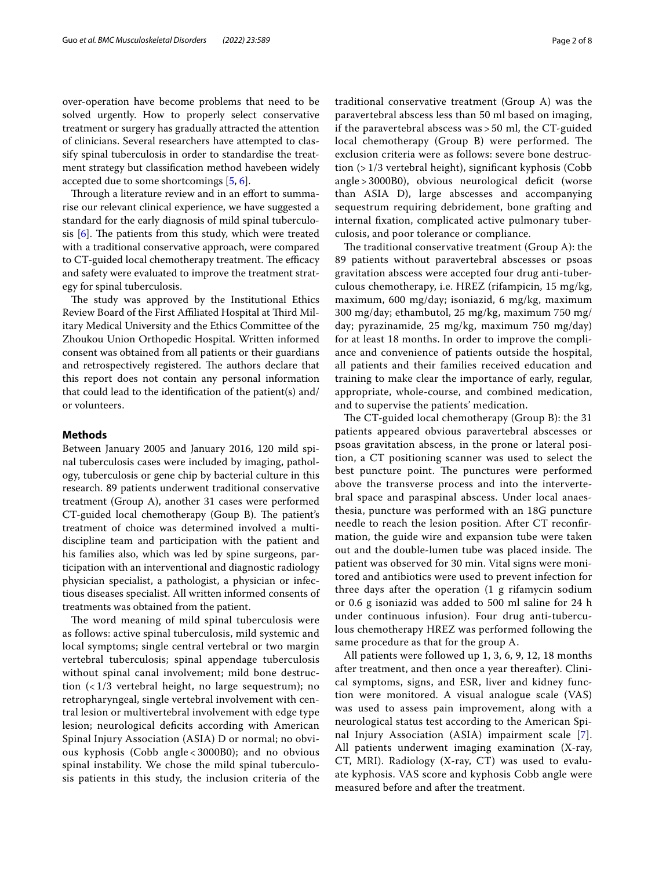over-operation have become problems that need to be solved urgently. How to properly select conservative treatment or surgery has gradually attracted the attention of clinicians. Several researchers have attempted to classify spinal tuberculosis in order to standardise the treatment strategy but classifcation method havebeen widely accepted due to some shortcomings [\[5](#page-7-4), [6\]](#page-7-5).

Through a literature review and in an effort to summarise our relevant clinical experience, we have suggested a standard for the early diagnosis of mild spinal tuberculosis  $[6]$  $[6]$ . The patients from this study, which were treated with a traditional conservative approach, were compared to CT-guided local chemotherapy treatment. The efficacy and safety were evaluated to improve the treatment strategy for spinal tuberculosis.

The study was approved by the Institutional Ethics Review Board of the First Affiliated Hospital at Third Military Medical University and the Ethics Committee of the Zhoukou Union Orthopedic Hospital. Written informed consent was obtained from all patients or their guardians and retrospectively registered. The authors declare that this report does not contain any personal information that could lead to the identifcation of the patient(s) and/ or volunteers.

#### **Methods**

Between January 2005 and January 2016, 120 mild spinal tuberculosis cases were included by imaging, pathology, tuberculosis or gene chip by bacterial culture in this research. 89 patients underwent traditional conservative treatment (Group A), another 31 cases were performed CT-guided local chemotherapy (Goup B). The patient's treatment of choice was determined involved a multidiscipline team and participation with the patient and his families also, which was led by spine surgeons, participation with an interventional and diagnostic radiology physician specialist, a pathologist, a physician or infectious diseases specialist. All written informed consents of treatments was obtained from the patient.

The word meaning of mild spinal tuberculosis were as follows: active spinal tuberculosis, mild systemic and local symptoms; single central vertebral or two margin vertebral tuberculosis; spinal appendage tuberculosis without spinal canal involvement; mild bone destruction (< 1/3 vertebral height, no large sequestrum); no retropharyngeal, single vertebral involvement with central lesion or multivertebral involvement with edge type lesion; neurological deficits according with American Spinal Injury Association (ASIA) D or normal; no obvious kyphosis (Cobb angle < 3000B0); and no obvious spinal instability. We chose the mild spinal tuberculosis patients in this study, the inclusion criteria of the traditional conservative treatment (Group A) was the paravertebral abscess less than 50 ml based on imaging, if the paravertebral abscess was > 50 ml, the CT-guided local chemotherapy (Group B) were performed. The exclusion criteria were as follows: severe bone destruction (> 1/3 vertebral height), signifcant kyphosis (Cobb angle > 3000B0), obvious neurological deficit (worse than ASIA D), large abscesses and accompanying sequestrum requiring debridement, bone grafting and internal fxation, complicated active pulmonary tuberculosis, and poor tolerance or compliance.

The traditional conservative treatment (Group  $A$ ): the 89 patients without paravertebral abscesses or psoas gravitation abscess were accepted four drug anti-tuberculous chemotherapy, i.e. HREZ (rifampicin, 15 mg/kg, maximum, 600 mg/day; isoniazid, 6 mg/kg, maximum 300 mg/day; ethambutol, 25 mg/kg, maximum 750 mg/ day; pyrazinamide, 25 mg/kg, maximum 750 mg/day) for at least 18 months. In order to improve the compliance and convenience of patients outside the hospital, all patients and their families received education and training to make clear the importance of early, regular, appropriate, whole-course, and combined medication, and to supervise the patients' medication.

The CT-guided local chemotherapy (Group B): the 31 patients appeared obvious paravertebral abscesses or psoas gravitation abscess, in the prone or lateral position, a CT positioning scanner was used to select the best puncture point. The punctures were performed above the transverse process and into the intervertebral space and paraspinal abscess. Under local anaesthesia, puncture was performed with an 18G puncture needle to reach the lesion position. After CT reconfrmation, the guide wire and expansion tube were taken out and the double-lumen tube was placed inside. The patient was observed for 30 min. Vital signs were monitored and antibiotics were used to prevent infection for three days after the operation (1 g rifamycin sodium or 0.6 g isoniazid was added to 500 ml saline for 24 h under continuous infusion). Four drug anti-tuberculous chemotherapy HREZ was performed following the same procedure as that for the group A.

All patients were followed up 1, 3, 6, 9, 12, 18 months after treatment, and then once a year thereafter). Clinical symptoms, signs, and ESR, liver and kidney function were monitored. A visual analogue scale (VAS) was used to assess pain improvement, along with a neurological status test according to the American Spinal Injury Association (ASIA) impairment scale [[7](#page-7-6)]. All patients underwent imaging examination (X-ray, CT, MRI). Radiology (X-ray, CT) was used to evaluate kyphosis. VAS score and kyphosis Cobb angle were measured before and after the treatment.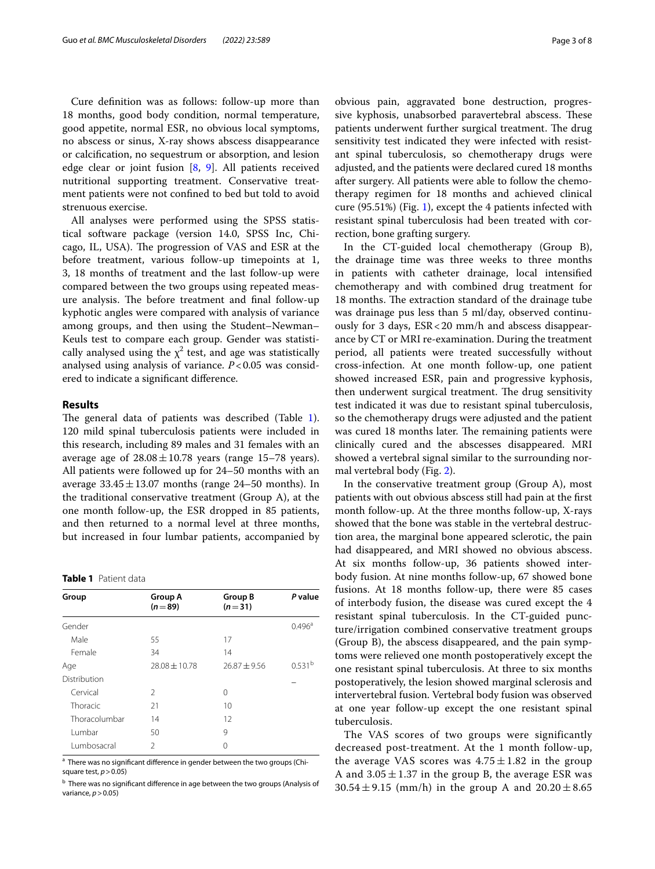Cure defnition was as follows: follow-up more than 18 months, good body condition, normal temperature, good appetite, normal ESR, no obvious local symptoms, no abscess or sinus, X-ray shows abscess disappearance or calcifcation, no sequestrum or absorption, and lesion edge clear or joint fusion [\[8](#page-7-7), [9](#page-7-8)]. All patients received nutritional supporting treatment. Conservative treatment patients were not confned to bed but told to avoid strenuous exercise.

All analyses were performed using the SPSS statistical software package (version 14.0, SPSS Inc, Chicago, IL, USA). The progression of VAS and ESR at the before treatment, various follow-up timepoints at 1, 3, 18 months of treatment and the last follow-up were compared between the two groups using repeated measure analysis. The before treatment and final follow-up kyphotic angles were compared with analysis of variance among groups, and then using the Student–Newman– Keuls test to compare each group. Gender was statistically analysed using the  $\chi^2$  test, and age was statistically analysed using analysis of variance. *P*<0.05 was considered to indicate a signifcant diference.

#### **Results**

The general data of patients was described (Table [1](#page-2-0)). 120 mild spinal tuberculosis patients were included in this research, including 89 males and 31 females with an average age of  $28.08 \pm 10.78$  years (range 15–78 years). All patients were followed up for 24–50 months with an average  $33.45 \pm 13.07$  months (range 24–50 months). In the traditional conservative treatment (Group A), at the one month follow-up, the ESR dropped in 85 patients, and then returned to a normal level at three months, but increased in four lumbar patients, accompanied by

<span id="page-2-0"></span>**Table 1** Patient data

| Group         | Group A<br>$(n=89)$ | <b>Group B</b><br>$(n=31)$ | P value            |
|---------------|---------------------|----------------------------|--------------------|
| Gender        |                     |                            | $0.496^{\circ}$    |
| Male          | 55                  | 17                         |                    |
| Female        | 34                  | 14                         |                    |
| Age           | $28.08 \pm 10.78$   | $76.87 + 9.56$             | 0.531 <sup>b</sup> |
| Distribution  |                     |                            |                    |
| Cervical      | 2                   | 0                          |                    |
| Thoracic      | 21                  | 10                         |                    |
| Thoracolumbar | 14                  | 12                         |                    |
| Lumbar        | 50                  | 9                          |                    |
| Lumbosacral   | $\mathcal{P}$       | 0                          |                    |
|               |                     |                            |                    |

<sup>a</sup> There was no significant difference in gender between the two groups (Chisquare test, *p*>0.05)

<sup>b</sup> There was no significant difference in age between the two groups (Analysis of variance, *p*>0.05)

obvious pain, aggravated bone destruction, progressive kyphosis, unabsorbed paravertebral abscess. These patients underwent further surgical treatment. The drug sensitivity test indicated they were infected with resistant spinal tuberculosis, so chemotherapy drugs were adjusted, and the patients were declared cured 18 months after surgery. All patients were able to follow the chemotherapy regimen for 18 months and achieved clinical cure (95.51%) (Fig. [1\)](#page-3-0), except the 4 patients infected with resistant spinal tuberculosis had been treated with correction, bone grafting surgery.

In the CT-guided local chemotherapy (Group B), the drainage time was three weeks to three months in patients with catheter drainage, local intensifed chemotherapy and with combined drug treatment for 18 months. The extraction standard of the drainage tube was drainage pus less than 5 ml/day, observed continuously for 3 days, ESR<20 mm/h and abscess disappearance by CT or MRI re-examination. During the treatment period, all patients were treated successfully without cross-infection. At one month follow-up, one patient showed increased ESR, pain and progressive kyphosis, then underwent surgical treatment. The drug sensitivity test indicated it was due to resistant spinal tuberculosis, so the chemotherapy drugs were adjusted and the patient was cured 18 months later. The remaining patients were clinically cured and the abscesses disappeared. MRI showed a vertebral signal similar to the surrounding normal vertebral body (Fig. [2\)](#page-3-1).

In the conservative treatment group (Group A), most patients with out obvious abscess still had pain at the frst month follow-up. At the three months follow-up, X-rays showed that the bone was stable in the vertebral destruction area, the marginal bone appeared sclerotic, the pain had disappeared, and MRI showed no obvious abscess. At six months follow-up, 36 patients showed interbody fusion. At nine months follow-up, 67 showed bone fusions. At 18 months follow-up, there were 85 cases of interbody fusion, the disease was cured except the 4 resistant spinal tuberculosis. In the CT-guided puncture/irrigation combined conservative treatment groups (Group B), the abscess disappeared, and the pain symptoms were relieved one month postoperatively except the one resistant spinal tuberculosis. At three to six months postoperatively, the lesion showed marginal sclerosis and intervertebral fusion. Vertebral body fusion was observed at one year follow-up except the one resistant spinal tuberculosis.

The VAS scores of two groups were significantly decreased post-treatment. At the 1 month follow-up, the average VAS scores was  $4.75 \pm 1.82$  in the group A and  $3.05 \pm 1.37$  in the group B, the average ESR was  $30.54 \pm 9.15$  (mm/h) in the group A and  $20.20 \pm 8.65$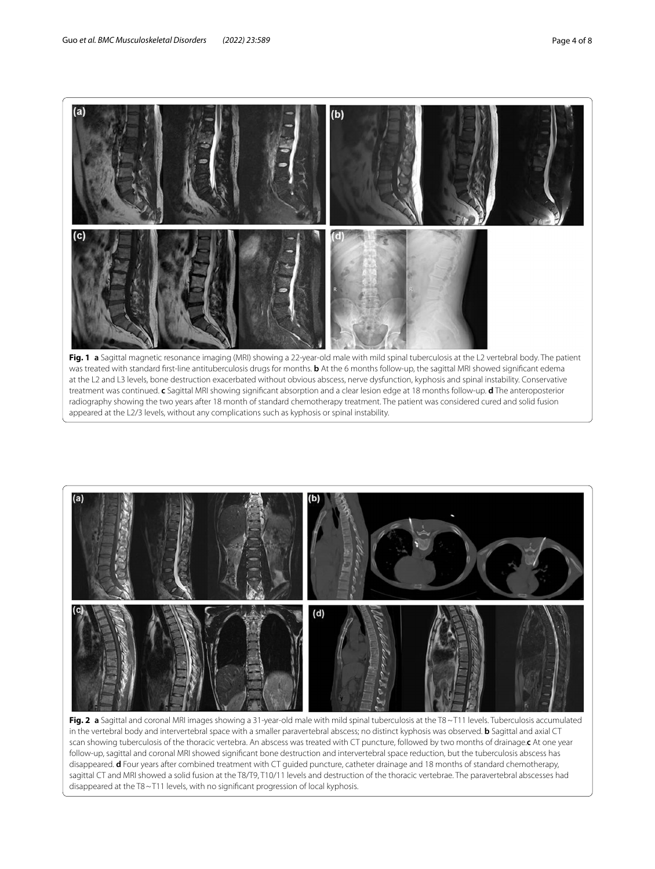

<span id="page-3-0"></span>



<span id="page-3-1"></span>**Fig. 2 a** Sagittal and coronal MRI images showing a 31-year-old male with mild spinal tuberculosis at the T8~T11 levels. Tuberculosis accumulated in the vertebral body and intervertebral space with a smaller paravertebral abscess; no distinct kyphosis was observed. **b** Sagittal and axial CT scan showing tuberculosis of the thoracic vertebra. An abscess was treated with CT puncture, followed by two months of drainage.**c** At one year follow-up, sagittal and coronal MRI showed signifcant bone destruction and intervertebral space reduction, but the tuberculosis abscess has disappeared. **d** Four years after combined treatment with CT guided puncture, catheter drainage and 18 months of standard chemotherapy, sagittal CT and MRI showed a solid fusion at the T8/T9, T10/11 levels and destruction of the thoracic vertebrae. The paravertebral abscesses had disappeared at the T8~T11 levels, with no signifcant progression of local kyphosis.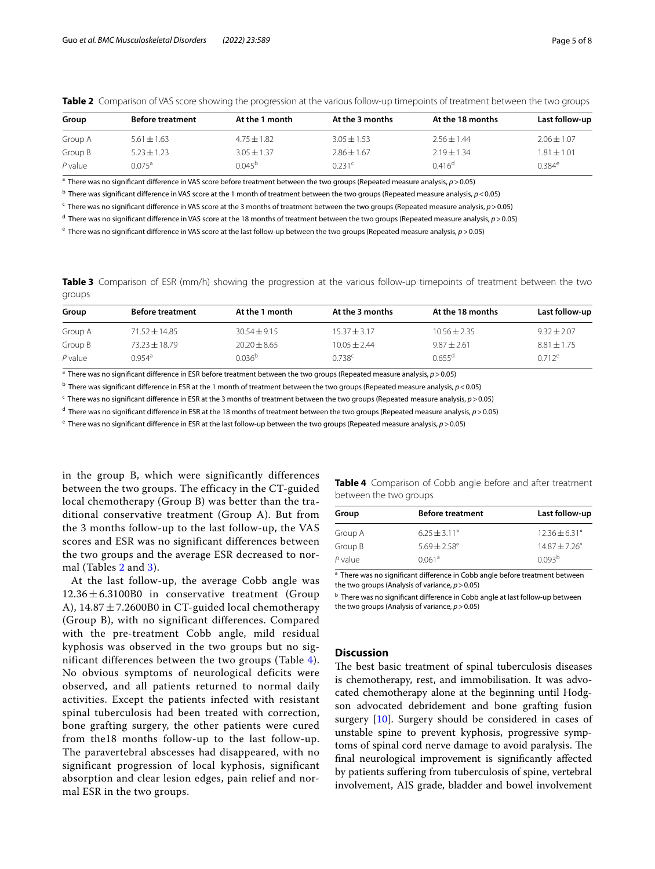<span id="page-4-0"></span>

|  |  |  |  |  | Table 2 Comparison of VAS score showing the progression at the various follow-up timepoints of treatment between the two groups |
|--|--|--|--|--|---------------------------------------------------------------------------------------------------------------------------------|
|--|--|--|--|--|---------------------------------------------------------------------------------------------------------------------------------|

| Group   | <b>Before treatment</b> | At the 1 month  | At the 3 months    | At the 18 months | Last follow-up  |  |
|---------|-------------------------|-----------------|--------------------|------------------|-----------------|--|
| Group A | $5.61 \pm 1.63$         | $4.75 \pm 1.82$ | $3.05 \pm 1.53$    | $2.56 \pm 1.44$  | $2.06 \pm 1.07$ |  |
| Group B | $5.23 \pm 1.23$         | $3.05 \pm 1.37$ | $2.86 \pm 1.67$    | $2.19 \pm 1.34$  | $1.81 \pm 1.01$ |  |
| P value | $0.075^{\text{a}}$      | $0.045^{b}$     | 0.231 <sup>c</sup> | $0.416^d$        | $0.384^e$       |  |

a There was no signifcant diference in VAS score before treatment between the two groups (Repeated measure analysis, *p*>0.05)

<sup>b</sup> There was significant difference in VAS score at the 1 month of treatment between the two groups (Repeated measure analysis, *p* < 0.05)

c There was no signifcant diference in VAS score at the 3 months of treatment between the two groups (Repeated measure analysis, *p*>0.05)

d There was no signifcant diference in VAS score at the 18 months of treatment between the two groups (Repeated measure analysis, *p*>0.05)

e There was no signifcant diference in VAS score at the last follow-up between the two groups (Repeated measure analysis, *p*>0.05)

<span id="page-4-1"></span>

|        | Table 3 Comparison of ESR (mm/h) showing the progression at the various follow-up timepoints of treatment between the two |  |  |  |  |  |  |
|--------|---------------------------------------------------------------------------------------------------------------------------|--|--|--|--|--|--|
| groups |                                                                                                                           |  |  |  |  |  |  |

| Group     | <b>Before treatment</b> | At the 1 month     | At the 3 months | At the 18 months     | Last follow-up  |  |
|-----------|-------------------------|--------------------|-----------------|----------------------|-----------------|--|
| Group A   | $71.52 \pm 14.85$       | $30.54 + 9.15$     | $15.37 + 3.17$  | $10.56 + 2.35$       | $9.32 + 2.07$   |  |
| Group B   | $73.23 \pm 18.79$       | $20.20 \pm 8.65$   | $10.05 + 2.44$  | $9.87 + 2.61$        | $8.81 \pm 1.75$ |  |
| $P$ value | $0.954$ <sup>a</sup>    | 0.036 <sup>b</sup> | 0.738c          | $0.655$ <sup>d</sup> | $0.712^e$       |  |

a There was no signifcant diference in ESR before treatment between the two groups (Repeated measure analysis, *p*>0.05)

b There was signifcant diference in ESR at the 1 month of treatment between the two groups (Repeated measure analysis, *p*<0.05)

c There was no signifcant diference in ESR at the 3 months of treatment between the two groups (Repeated measure analysis, *p*>0.05)

d There was no signifcant diference in ESR at the 18 months of treatment between the two groups (Repeated measure analysis, *p*>0.05)

e There was no signifcant diference in ESR at the last follow-up between the two groups (Repeated measure analysis, *p*>0.05)

in the group B, which were significantly differences between the two groups. The efficacy in the CT-guided local chemotherapy (Group B) was better than the traditional conservative treatment (Group A). But from the 3 months follow-up to the last follow-up, the VAS scores and ESR was no significant differences between the two groups and the average ESR decreased to normal (Tables [2](#page-4-0) and [3](#page-4-1)).

At the last follow-up, the average Cobb angle was  $12.36 \pm 6.3100B0$  in conservative treatment (Group A),  $14.87 \pm 7.2600B0$  in CT-guided local chemotherapy (Group B), with no significant differences. Compared with the pre-treatment Cobb angle, mild residual kyphosis was observed in the two groups but no significant differences between the two groups (Table [4\)](#page-4-2). No obvious symptoms of neurological deficits were observed, and all patients returned to normal daily activities. Except the patients infected with resistant spinal tuberculosis had been treated with correction, bone grafting surgery, the other patients were cured from the18 months follow-up to the last follow-up. The paravertebral abscesses had disappeared, with no significant progression of local kyphosis, significant absorption and clear lesion edges, pain relief and normal ESR in the two groups.

<span id="page-4-2"></span>

| Table 4 Comparison of Cobb angle before and after treatment |  |  |  |  |
|-------------------------------------------------------------|--|--|--|--|
| between the two groups                                      |  |  |  |  |

| Last follow-up           |
|--------------------------|
| $12.36 \pm 6.31^{\circ}$ |
| $14.87 + 7.26^{\circ}$   |
| 0.093 <sup>b</sup>       |
|                          |

<sup>a</sup> There was no significant difference in Cobb angle before treatment between the two groups (Analysis of variance, *p*>0.05)

**b** There was no significant difference in Cobb angle at last follow-up between the two groups (Analysis of variance, *p*>0.05)

#### **Discussion**

The best basic treatment of spinal tuberculosis diseases is chemotherapy, rest, and immobilisation. It was advocated chemotherapy alone at the beginning until Hodgson advocated debridement and bone grafting fusion surgery [[10](#page-7-9)]. Surgery should be considered in cases of unstable spine to prevent kyphosis, progressive symptoms of spinal cord nerve damage to avoid paralysis. The fnal neurological improvement is signifcantly afected by patients sufering from tuberculosis of spine, vertebral involvement, AIS grade, bladder and bowel involvement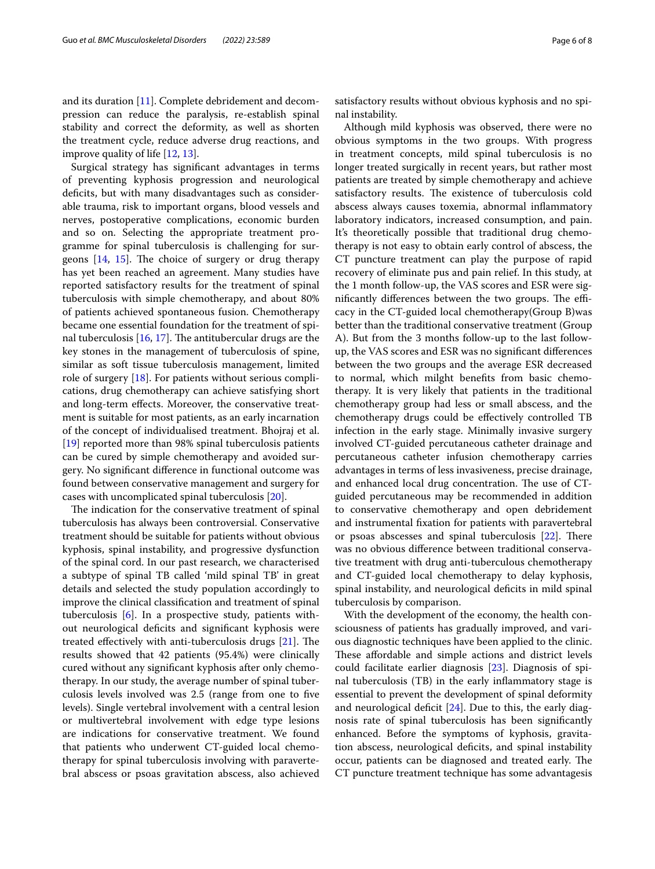Surgical strategy has signifcant advantages in terms of preventing kyphosis progression and neurological deficits, but with many disadvantages such as considerable trauma, risk to important organs, blood vessels and nerves, postoperative complications, economic burden and so on. Selecting the appropriate treatment programme for spinal tuberculosis is challenging for surgeons  $[14, 15]$  $[14, 15]$  $[14, 15]$  $[14, 15]$ . The choice of surgery or drug therapy has yet been reached an agreement. Many studies have reported satisfactory results for the treatment of spinal tuberculosis with simple chemotherapy, and about 80% of patients achieved spontaneous fusion. Chemotherapy became one essential foundation for the treatment of spinal tuberculosis  $[16, 17]$  $[16, 17]$  $[16, 17]$  $[16, 17]$ . The antitubercular drugs are the key stones in the management of tuberculosis of spine, similar as soft tissue tuberculosis management, limited role of surgery [[18](#page-7-17)]. For patients without serious complications, drug chemotherapy can achieve satisfying short and long-term efects. Moreover, the conservative treatment is suitable for most patients, as an early incarnation of the concept of individualised treatment. Bhojraj et al. [[19\]](#page-7-18) reported more than 98% spinal tuberculosis patients can be cured by simple chemotherapy and avoided surgery. No signifcant diference in functional outcome was found between conservative management and surgery for cases with uncomplicated spinal tuberculosis [[20\]](#page-7-19).

The indication for the conservative treatment of spinal tuberculosis has always been controversial. Conservative treatment should be suitable for patients without obvious kyphosis, spinal instability, and progressive dysfunction of the spinal cord. In our past research, we characterised a subtype of spinal TB called 'mild spinal TB' in great details and selected the study population accordingly to improve the clinical classifcation and treatment of spinal tuberculosis [\[6](#page-7-5)]. In a prospective study, patients without neurological deficits and significant kyphosis were treated effectively with anti-tuberculosis drugs  $[21]$  $[21]$  $[21]$ . The results showed that 42 patients (95.4%) were clinically cured without any signifcant kyphosis after only chemotherapy. In our study, the average number of spinal tuberculosis levels involved was 2.5 (range from one to fve levels). Single vertebral involvement with a central lesion or multivertebral involvement with edge type lesions are indications for conservative treatment. We found that patients who underwent CT-guided local chemotherapy for spinal tuberculosis involving with paravertebral abscess or psoas gravitation abscess, also achieved satisfactory results without obvious kyphosis and no spinal instability.

Although mild kyphosis was observed, there were no obvious symptoms in the two groups. With progress in treatment concepts, mild spinal tuberculosis is no longer treated surgically in recent years, but rather most patients are treated by simple chemotherapy and achieve satisfactory results. The existence of tuberculosis cold abscess always causes toxemia, abnormal infammatory laboratory indicators, increased consumption, and pain. It's theoretically possible that traditional drug chemotherapy is not easy to obtain early control of abscess, the CT puncture treatment can play the purpose of rapid recovery of eliminate pus and pain relief. In this study, at the 1 month follow-up, the VAS scores and ESR were significantly differences between the two groups. The efficacy in the CT-guided local chemotherapy(Group B)was better than the traditional conservative treatment (Group A). But from the 3 months follow-up to the last followup, the VAS scores and ESR was no signifcant diferences between the two groups and the average ESR decreased to normal, which milght benefts from basic chemotherapy. It is very likely that patients in the traditional chemotherapy group had less or small abscess, and the chemotherapy drugs could be efectively controlled TB infection in the early stage. Minimally invasive surgery involved CT-guided percutaneous catheter drainage and percutaneous catheter infusion chemotherapy carries advantages in terms of less invasiveness, precise drainage, and enhanced local drug concentration. The use of CTguided percutaneous may be recommended in addition to conservative chemotherapy and open debridement and instrumental fxation for patients with paravertebral or psoas abscesses and spinal tuberculosis  $[22]$ . There was no obvious diference between traditional conservative treatment with drug anti-tuberculous chemotherapy and CT-guided local chemotherapy to delay kyphosis, spinal instability, and neurological deficits in mild spinal tuberculosis by comparison.

With the development of the economy, the health consciousness of patients has gradually improved, and various diagnostic techniques have been applied to the clinic. These affordable and simple actions and district levels could facilitate earlier diagnosis [\[23\]](#page-7-22). Diagnosis of spinal tuberculosis (TB) in the early infammatory stage is essential to prevent the development of spinal deformity and neurological deficit  $[24]$  $[24]$  $[24]$ . Due to this, the early diagnosis rate of spinal tuberculosis has been signifcantly enhanced. Before the symptoms of kyphosis, gravitation abscess, neurological deficits, and spinal instability occur, patients can be diagnosed and treated early. The CT puncture treatment technique has some advantagesis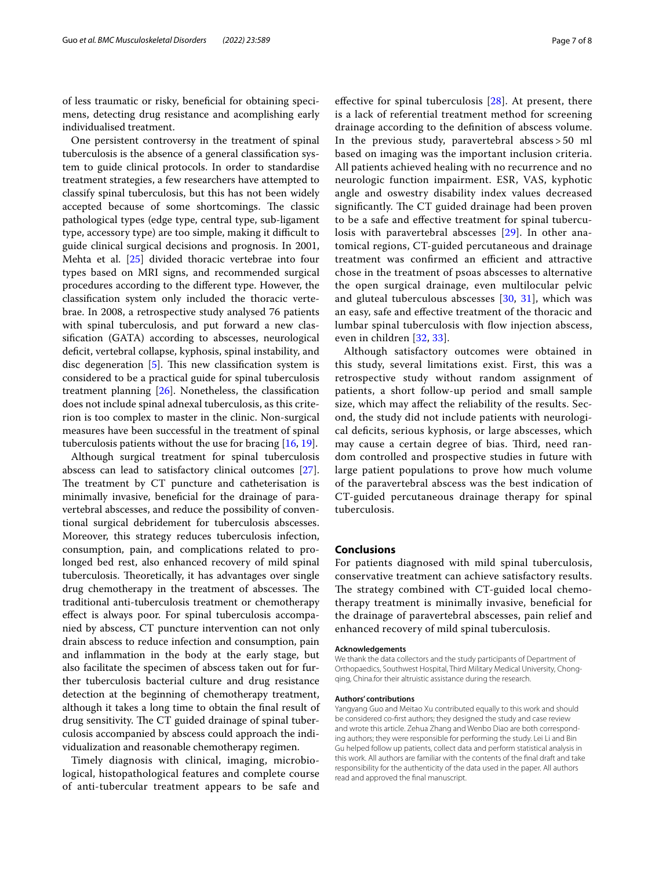of less traumatic or risky, benefcial for obtaining specimens, detecting drug resistance and acomplishing early individualised treatment.

One persistent controversy in the treatment of spinal tuberculosis is the absence of a general classifcation system to guide clinical protocols. In order to standardise treatment strategies, a few researchers have attempted to classify spinal tuberculosis, but this has not been widely accepted because of some shortcomings. The classic pathological types (edge type, central type, sub-ligament type, accessory type) are too simple, making it difficult to guide clinical surgical decisions and prognosis. In 2001, Mehta et al. [[25\]](#page-7-24) divided thoracic vertebrae into four types based on MRI signs, and recommended surgical procedures according to the diferent type. However, the classifcation system only included the thoracic vertebrae. In 2008, a retrospective study analysed 76 patients with spinal tuberculosis, and put forward a new classifcation (GATA) according to abscesses, neurological deficit, vertebral collapse, kyphosis, spinal instability, and disc degeneration  $[5]$  $[5]$ . This new classification system is considered to be a practical guide for spinal tuberculosis treatment planning [[26](#page-7-25)]. Nonetheless, the classifcation does not include spinal adnexal tuberculosis, as this criterion is too complex to master in the clinic. Non-surgical measures have been successful in the treatment of spinal tuberculosis patients without the use for bracing [[16](#page-7-15), [19\]](#page-7-18).

Although surgical treatment for spinal tuberculosis abscess can lead to satisfactory clinical outcomes [\[27](#page-7-26)]. The treatment by CT puncture and catheterisation is minimally invasive, beneficial for the drainage of paravertebral abscesses, and reduce the possibility of conventional surgical debridement for tuberculosis abscesses. Moreover, this strategy reduces tuberculosis infection, consumption, pain, and complications related to prolonged bed rest, also enhanced recovery of mild spinal tuberculosis. Theoretically, it has advantages over single drug chemotherapy in the treatment of abscesses. The traditional anti-tuberculosis treatment or chemotherapy efect is always poor. For spinal tuberculosis accompanied by abscess, CT puncture intervention can not only drain abscess to reduce infection and consumption, pain and infammation in the body at the early stage, but also facilitate the specimen of abscess taken out for further tuberculosis bacterial culture and drug resistance detection at the beginning of chemotherapy treatment, although it takes a long time to obtain the fnal result of drug sensitivity. The CT guided drainage of spinal tuberculosis accompanied by abscess could approach the individualization and reasonable chemotherapy regimen.

Timely diagnosis with clinical, imaging, microbiological, histopathological features and complete course of anti-tubercular treatment appears to be safe and

effective for spinal tuberculosis  $[28]$  $[28]$  $[28]$ . At present, there is a lack of referential treatment method for screening drainage according to the defnition of abscess volume. In the previous study, paravertebral abscess > 50 ml based on imaging was the important inclusion criteria. All patients achieved healing with no recurrence and no neurologic function impairment. ESR, VAS, kyphotic angle and oswestry disability index values decreased significantly. The CT guided drainage had been proven to be a safe and efective treatment for spinal tubercu-losis with paravertebral abscesses [\[29](#page-7-28)]. In other anatomical regions, CT-guided percutaneous and drainage treatment was confirmed an efficient and attractive chose in the treatment of psoas abscesses to alternative the open surgical drainage, even multilocular pelvic and gluteal tuberculous abscesses [\[30,](#page-7-29) [31\]](#page-7-30), which was an easy, safe and efective treatment of the thoracic and lumbar spinal tuberculosis with fow injection abscess, even in children [\[32](#page-7-31), [33](#page-7-32)].

Although satisfactory outcomes were obtained in this study, several limitations exist. First, this was a retrospective study without random assignment of patients, a short follow-up period and small sample size, which may afect the reliability of the results. Second, the study did not include patients with neurological deficits, serious kyphosis, or large abscesses, which may cause a certain degree of bias. Third, need random controlled and prospective studies in future with large patient populations to prove how much volume of the paravertebral abscess was the best indication of CT-guided percutaneous drainage therapy for spinal tuberculosis.

#### **Conclusions**

For patients diagnosed with mild spinal tuberculosis, conservative treatment can achieve satisfactory results. The strategy combined with CT-guided local chemotherapy treatment is minimally invasive, benefcial for the drainage of paravertebral abscesses, pain relief and enhanced recovery of mild spinal tuberculosis.

#### **Acknowledgements**

We thank the data collectors and the study participants of Department of Orthopaedics, Southwest Hospital, Third Military Medical University, Chongqing, China.for their altruistic assistance during the research.

#### **Authors' contributions**

Yangyang Guo and Meitao Xu contributed equally to this work and should be considered co-frst authors; they designed the study and case review and wrote this article. Zehua Zhang and Wenbo Diao are both corresponding authors; they were responsible for performing the study. Lei Li and Bin Gu helped follow up patients, collect data and perform statistical analysis in this work. All authors are familiar with the contents of the fnal draft and take responsibility for the authenticity of the data used in the paper. All authors read and approved the fnal manuscript.